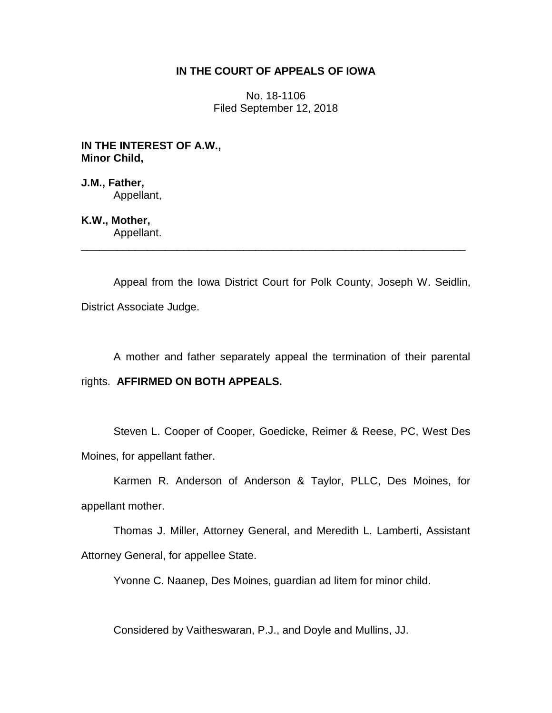# **IN THE COURT OF APPEALS OF IOWA**

No. 18-1106 Filed September 12, 2018

**IN THE INTEREST OF A.W., Minor Child,**

**J.M., Father,** Appellant,

**K.W., Mother,** Appellant.

Appeal from the Iowa District Court for Polk County, Joseph W. Seidlin, District Associate Judge.

\_\_\_\_\_\_\_\_\_\_\_\_\_\_\_\_\_\_\_\_\_\_\_\_\_\_\_\_\_\_\_\_\_\_\_\_\_\_\_\_\_\_\_\_\_\_\_\_\_\_\_\_\_\_\_\_\_\_\_\_\_\_\_\_

A mother and father separately appeal the termination of their parental

rights. **AFFIRMED ON BOTH APPEALS.**

Steven L. Cooper of Cooper, Goedicke, Reimer & Reese, PC, West Des Moines, for appellant father.

Karmen R. Anderson of Anderson & Taylor, PLLC, Des Moines, for appellant mother.

Thomas J. Miller, Attorney General, and Meredith L. Lamberti, Assistant Attorney General, for appellee State.

Yvonne C. Naanep, Des Moines, guardian ad litem for minor child.

Considered by Vaitheswaran, P.J., and Doyle and Mullins, JJ.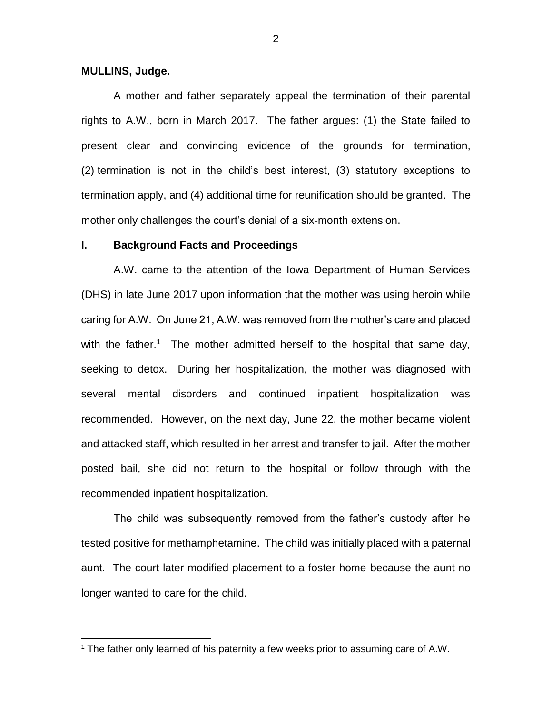## **MULLINS, Judge.**

 $\overline{a}$ 

A mother and father separately appeal the termination of their parental rights to A.W., born in March 2017. The father argues: (1) the State failed to present clear and convincing evidence of the grounds for termination, (2) termination is not in the child's best interest, (3) statutory exceptions to termination apply, and (4) additional time for reunification should be granted. The mother only challenges the court's denial of a six-month extension.

### **I. Background Facts and Proceedings**

A.W. came to the attention of the Iowa Department of Human Services (DHS) in late June 2017 upon information that the mother was using heroin while caring for A.W. On June 21, A.W. was removed from the mother's care and placed with the father.<sup>1</sup> The mother admitted herself to the hospital that same day, seeking to detox. During her hospitalization, the mother was diagnosed with several mental disorders and continued inpatient hospitalization was recommended. However, on the next day, June 22, the mother became violent and attacked staff, which resulted in her arrest and transfer to jail. After the mother posted bail, she did not return to the hospital or follow through with the recommended inpatient hospitalization.

The child was subsequently removed from the father's custody after he tested positive for methamphetamine. The child was initially placed with a paternal aunt. The court later modified placement to a foster home because the aunt no longer wanted to care for the child.

<sup>&</sup>lt;sup>1</sup> The father only learned of his paternity a few weeks prior to assuming care of A.W.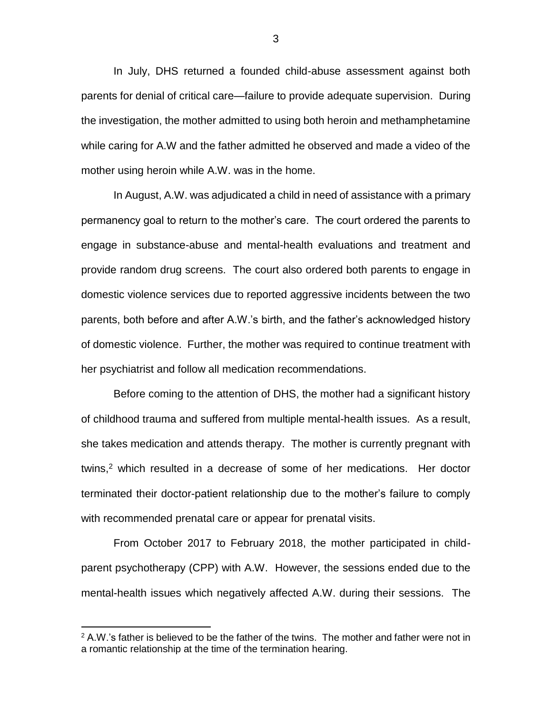In July, DHS returned a founded child-abuse assessment against both parents for denial of critical care—failure to provide adequate supervision. During the investigation, the mother admitted to using both heroin and methamphetamine while caring for A.W and the father admitted he observed and made a video of the mother using heroin while A.W. was in the home.

In August, A.W. was adjudicated a child in need of assistance with a primary permanency goal to return to the mother's care. The court ordered the parents to engage in substance-abuse and mental-health evaluations and treatment and provide random drug screens. The court also ordered both parents to engage in domestic violence services due to reported aggressive incidents between the two parents, both before and after A.W.'s birth, and the father's acknowledged history of domestic violence. Further, the mother was required to continue treatment with her psychiatrist and follow all medication recommendations.

Before coming to the attention of DHS, the mother had a significant history of childhood trauma and suffered from multiple mental-health issues. As a result, she takes medication and attends therapy. The mother is currently pregnant with twins, <sup>2</sup> which resulted in a decrease of some of her medications. Her doctor terminated their doctor-patient relationship due to the mother's failure to comply with recommended prenatal care or appear for prenatal visits.

From October 2017 to February 2018, the mother participated in childparent psychotherapy (CPP) with A.W. However, the sessions ended due to the mental-health issues which negatively affected A.W. during their sessions. The

 $\overline{a}$ 

 $2$  A.W.'s father is believed to be the father of the twins. The mother and father were not in a romantic relationship at the time of the termination hearing.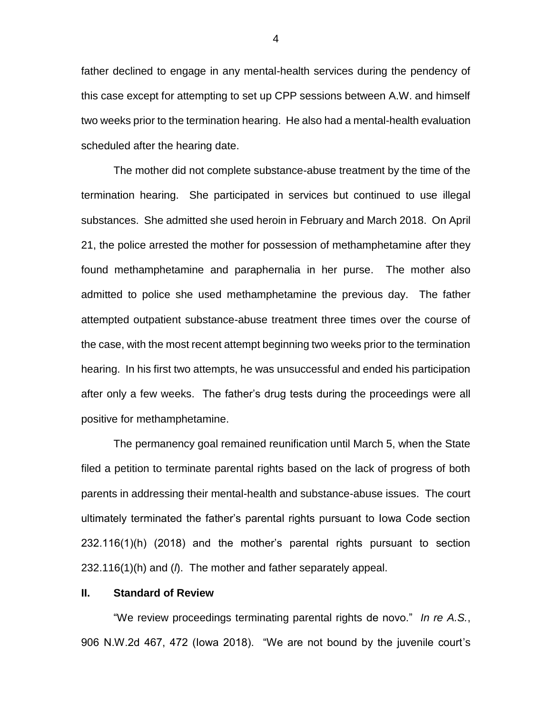father declined to engage in any mental-health services during the pendency of this case except for attempting to set up CPP sessions between A.W. and himself two weeks prior to the termination hearing. He also had a mental-health evaluation scheduled after the hearing date.

The mother did not complete substance-abuse treatment by the time of the termination hearing. She participated in services but continued to use illegal substances. She admitted she used heroin in February and March 2018. On April 21, the police arrested the mother for possession of methamphetamine after they found methamphetamine and paraphernalia in her purse. The mother also admitted to police she used methamphetamine the previous day. The father attempted outpatient substance-abuse treatment three times over the course of the case, with the most recent attempt beginning two weeks prior to the termination hearing. In his first two attempts, he was unsuccessful and ended his participation after only a few weeks. The father's drug tests during the proceedings were all positive for methamphetamine.

The permanency goal remained reunification until March 5, when the State filed a petition to terminate parental rights based on the lack of progress of both parents in addressing their mental-health and substance-abuse issues. The court ultimately terminated the father's parental rights pursuant to Iowa Code section 232.116(1)(h) (2018) and the mother's parental rights pursuant to section 232.116(1)(h) and (*l*). The mother and father separately appeal.

### **II. Standard of Review**

"We review proceedings terminating parental rights de novo." *In re A.S.*, 906 N.W.2d 467, 472 (Iowa 2018). "We are not bound by the juvenile court's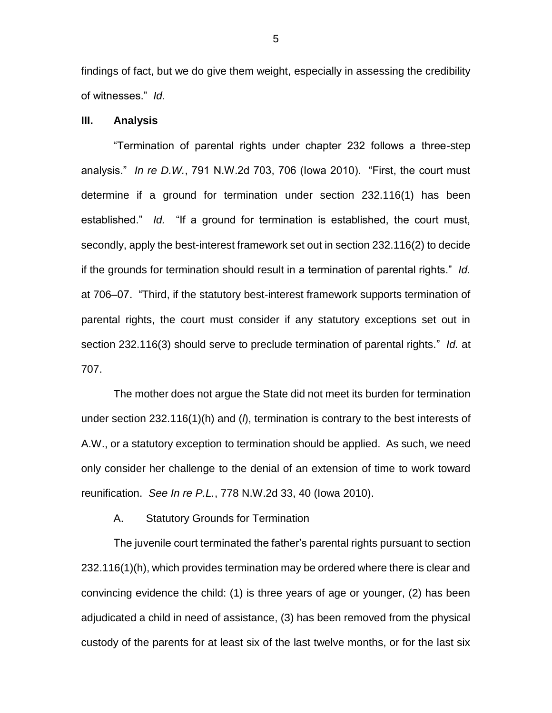findings of fact, but we do give them weight, especially in assessing the credibility of witnesses." *Id.*

# **III. Analysis**

"Termination of parental rights under chapter 232 follows a three-step analysis." *In re D.W.*, 791 N.W.2d 703, 706 (Iowa 2010). "First, the court must determine if a ground for termination under section 232.116(1) has been established." *Id.* "If a ground for termination is established, the court must, secondly, apply the best-interest framework set out in section 232.116(2) to decide if the grounds for termination should result in a termination of parental rights." *Id.* at 706–07. "Third, if the statutory best-interest framework supports termination of parental rights, the court must consider if any statutory exceptions set out in section 232.116(3) should serve to preclude termination of parental rights." *Id.* at 707.

The mother does not argue the State did not meet its burden for termination under section 232.116(1)(h) and (*l*), termination is contrary to the best interests of A.W., or a statutory exception to termination should be applied. As such, we need only consider her challenge to the denial of an extension of time to work toward reunification. *See In re P.L.*, 778 N.W.2d 33, 40 (Iowa 2010).

A. Statutory Grounds for Termination

The juvenile court terminated the father's parental rights pursuant to section 232.116(1)(h), which provides termination may be ordered where there is clear and convincing evidence the child: (1) is three years of age or younger, (2) has been adjudicated a child in need of assistance, (3) has been removed from the physical custody of the parents for at least six of the last twelve months, or for the last six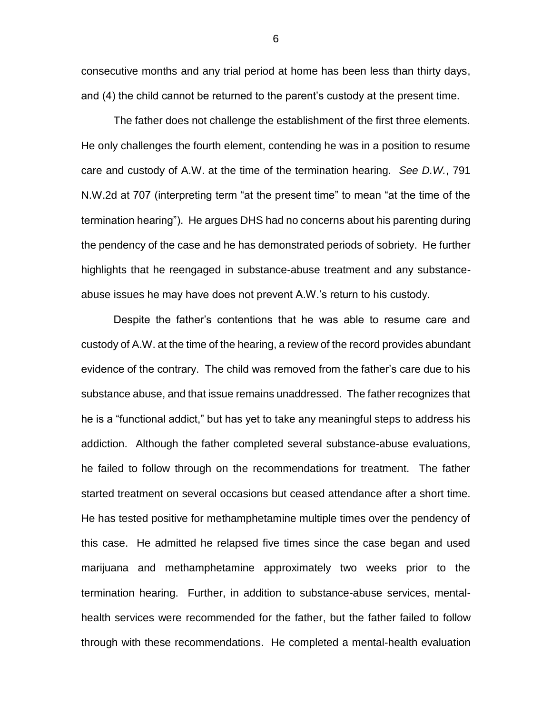consecutive months and any trial period at home has been less than thirty days, and (4) the child cannot be returned to the parent's custody at the present time.

The father does not challenge the establishment of the first three elements. He only challenges the fourth element, contending he was in a position to resume care and custody of A.W. at the time of the termination hearing. *See D.W.*, 791 N.W.2d at 707 (interpreting term "at the present time" to mean "at the time of the termination hearing"). He argues DHS had no concerns about his parenting during the pendency of the case and he has demonstrated periods of sobriety. He further highlights that he reengaged in substance-abuse treatment and any substanceabuse issues he may have does not prevent A.W.'s return to his custody.

Despite the father's contentions that he was able to resume care and custody of A.W. at the time of the hearing, a review of the record provides abundant evidence of the contrary. The child was removed from the father's care due to his substance abuse, and that issue remains unaddressed. The father recognizes that he is a "functional addict," but has yet to take any meaningful steps to address his addiction. Although the father completed several substance-abuse evaluations, he failed to follow through on the recommendations for treatment. The father started treatment on several occasions but ceased attendance after a short time. He has tested positive for methamphetamine multiple times over the pendency of this case. He admitted he relapsed five times since the case began and used marijuana and methamphetamine approximately two weeks prior to the termination hearing. Further, in addition to substance-abuse services, mentalhealth services were recommended for the father, but the father failed to follow through with these recommendations. He completed a mental-health evaluation

6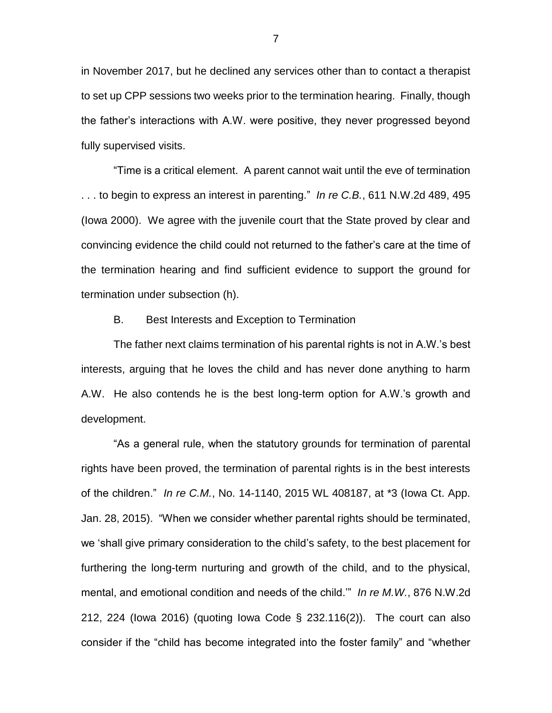in November 2017, but he declined any services other than to contact a therapist to set up CPP sessions two weeks prior to the termination hearing. Finally, though the father's interactions with A.W. were positive, they never progressed beyond fully supervised visits.

"Time is a critical element. A parent cannot wait until the eve of termination . . . to begin to express an interest in parenting." *In re C.B.*, 611 N.W.2d 489, 495 (Iowa 2000). We agree with the juvenile court that the State proved by clear and convincing evidence the child could not returned to the father's care at the time of the termination hearing and find sufficient evidence to support the ground for termination under subsection (h).

# B. Best Interests and Exception to Termination

The father next claims termination of his parental rights is not in A.W.'s best interests, arguing that he loves the child and has never done anything to harm A.W. He also contends he is the best long-term option for A.W.'s growth and development.

"As a general rule, when the statutory grounds for termination of parental rights have been proved, the termination of parental rights is in the best interests of the children." *In re C.M.*, No. 14-1140, 2015 WL 408187, at \*3 (Iowa Ct. App. Jan. 28, 2015). "When we consider whether parental rights should be terminated, we 'shall give primary consideration to the child's safety, to the best placement for furthering the long-term nurturing and growth of the child, and to the physical, mental, and emotional condition and needs of the child.'" *In re M.W.*, 876 N.W.2d 212, 224 (Iowa 2016) (quoting Iowa Code § 232.116(2)). The court can also consider if the "child has become integrated into the foster family" and "whether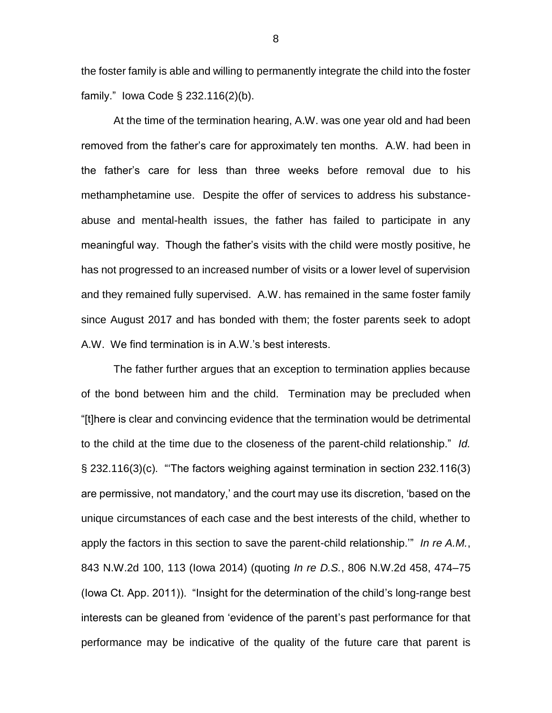the foster family is able and willing to permanently integrate the child into the foster family." Iowa Code § 232.116(2)(b).

At the time of the termination hearing, A.W. was one year old and had been removed from the father's care for approximately ten months. A.W. had been in the father's care for less than three weeks before removal due to his methamphetamine use. Despite the offer of services to address his substanceabuse and mental-health issues, the father has failed to participate in any meaningful way. Though the father's visits with the child were mostly positive, he has not progressed to an increased number of visits or a lower level of supervision and they remained fully supervised. A.W. has remained in the same foster family since August 2017 and has bonded with them; the foster parents seek to adopt A.W. We find termination is in A.W.'s best interests.

The father further argues that an exception to termination applies because of the bond between him and the child. Termination may be precluded when "[t]here is clear and convincing evidence that the termination would be detrimental to the child at the time due to the closeness of the parent-child relationship." *Id.* § 232.116(3)(c). "'The factors weighing against termination in section 232.116(3) are permissive, not mandatory,' and the court may use its discretion, 'based on the unique circumstances of each case and the best interests of the child, whether to apply the factors in this section to save the parent-child relationship.'" *In re A.M.*, 843 N.W.2d 100, 113 (Iowa 2014) (quoting *In re D.S.*, 806 N.W.2d 458, 474–75 (Iowa Ct. App. 2011)). "Insight for the determination of the child's long-range best interests can be gleaned from 'evidence of the parent's past performance for that performance may be indicative of the quality of the future care that parent is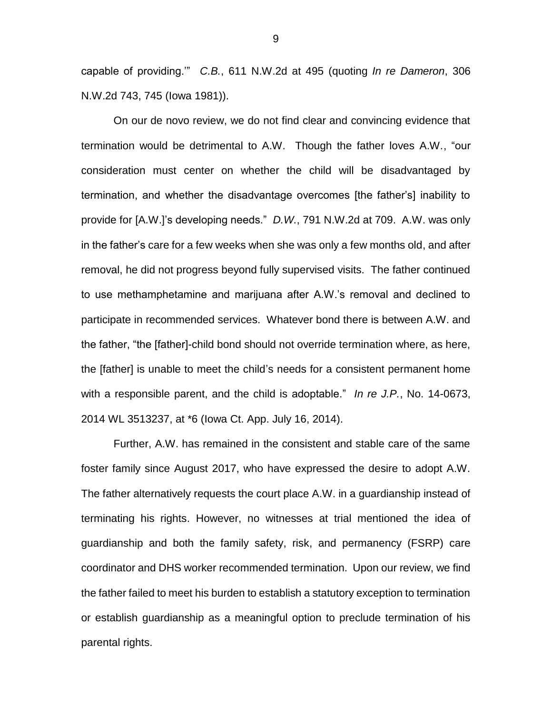capable of providing.'" *C.B.*, 611 N.W.2d at 495 (quoting *In re Dameron*, 306 N.W.2d 743, 745 (Iowa 1981)).

On our de novo review, we do not find clear and convincing evidence that termination would be detrimental to A.W. Though the father loves A.W., "our consideration must center on whether the child will be disadvantaged by termination, and whether the disadvantage overcomes [the father's] inability to provide for [A.W.]'s developing needs." *D.W.*, 791 N.W.2d at 709. A.W. was only in the father's care for a few weeks when she was only a few months old, and after removal, he did not progress beyond fully supervised visits. The father continued to use methamphetamine and marijuana after A.W.'s removal and declined to participate in recommended services. Whatever bond there is between A.W. and the father, "the [father]-child bond should not override termination where, as here, the [father] is unable to meet the child's needs for a consistent permanent home with a responsible parent, and the child is adoptable." *In re J.P.*, No. 14-0673, 2014 WL 3513237, at \*6 (Iowa Ct. App. July 16, 2014).

Further, A.W. has remained in the consistent and stable care of the same foster family since August 2017, who have expressed the desire to adopt A.W. The father alternatively requests the court place A.W. in a guardianship instead of terminating his rights. However, no witnesses at trial mentioned the idea of guardianship and both the family safety, risk, and permanency (FSRP) care coordinator and DHS worker recommended termination. Upon our review, we find the father failed to meet his burden to establish a statutory exception to termination or establish guardianship as a meaningful option to preclude termination of his parental rights.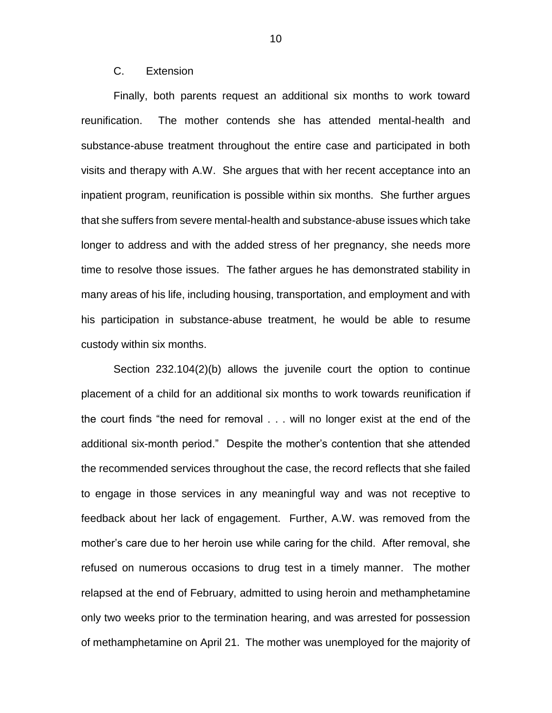# C. Extension

Finally, both parents request an additional six months to work toward reunification. The mother contends she has attended mental-health and substance-abuse treatment throughout the entire case and participated in both visits and therapy with A.W. She argues that with her recent acceptance into an inpatient program, reunification is possible within six months. She further argues that she suffers from severe mental-health and substance-abuse issues which take longer to address and with the added stress of her pregnancy, she needs more time to resolve those issues. The father argues he has demonstrated stability in many areas of his life, including housing, transportation, and employment and with his participation in substance-abuse treatment, he would be able to resume custody within six months.

Section 232.104(2)(b) allows the juvenile court the option to continue placement of a child for an additional six months to work towards reunification if the court finds "the need for removal . . . will no longer exist at the end of the additional six-month period." Despite the mother's contention that she attended the recommended services throughout the case, the record reflects that she failed to engage in those services in any meaningful way and was not receptive to feedback about her lack of engagement. Further, A.W. was removed from the mother's care due to her heroin use while caring for the child. After removal, she refused on numerous occasions to drug test in a timely manner. The mother relapsed at the end of February, admitted to using heroin and methamphetamine only two weeks prior to the termination hearing, and was arrested for possession of methamphetamine on April 21. The mother was unemployed for the majority of

10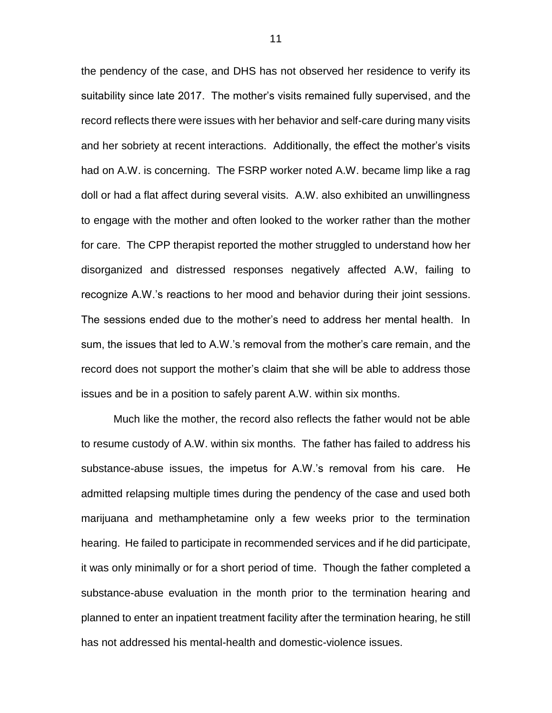the pendency of the case, and DHS has not observed her residence to verify its suitability since late 2017. The mother's visits remained fully supervised, and the record reflects there were issues with her behavior and self-care during many visits and her sobriety at recent interactions. Additionally, the effect the mother's visits had on A.W. is concerning. The FSRP worker noted A.W. became limp like a rag doll or had a flat affect during several visits. A.W. also exhibited an unwillingness to engage with the mother and often looked to the worker rather than the mother for care. The CPP therapist reported the mother struggled to understand how her disorganized and distressed responses negatively affected A.W, failing to recognize A.W.'s reactions to her mood and behavior during their joint sessions. The sessions ended due to the mother's need to address her mental health. In sum, the issues that led to A.W.'s removal from the mother's care remain, and the record does not support the mother's claim that she will be able to address those issues and be in a position to safely parent A.W. within six months.

Much like the mother, the record also reflects the father would not be able to resume custody of A.W. within six months. The father has failed to address his substance-abuse issues, the impetus for A.W.'s removal from his care. He admitted relapsing multiple times during the pendency of the case and used both marijuana and methamphetamine only a few weeks prior to the termination hearing. He failed to participate in recommended services and if he did participate, it was only minimally or for a short period of time. Though the father completed a substance-abuse evaluation in the month prior to the termination hearing and planned to enter an inpatient treatment facility after the termination hearing, he still has not addressed his mental-health and domestic-violence issues.